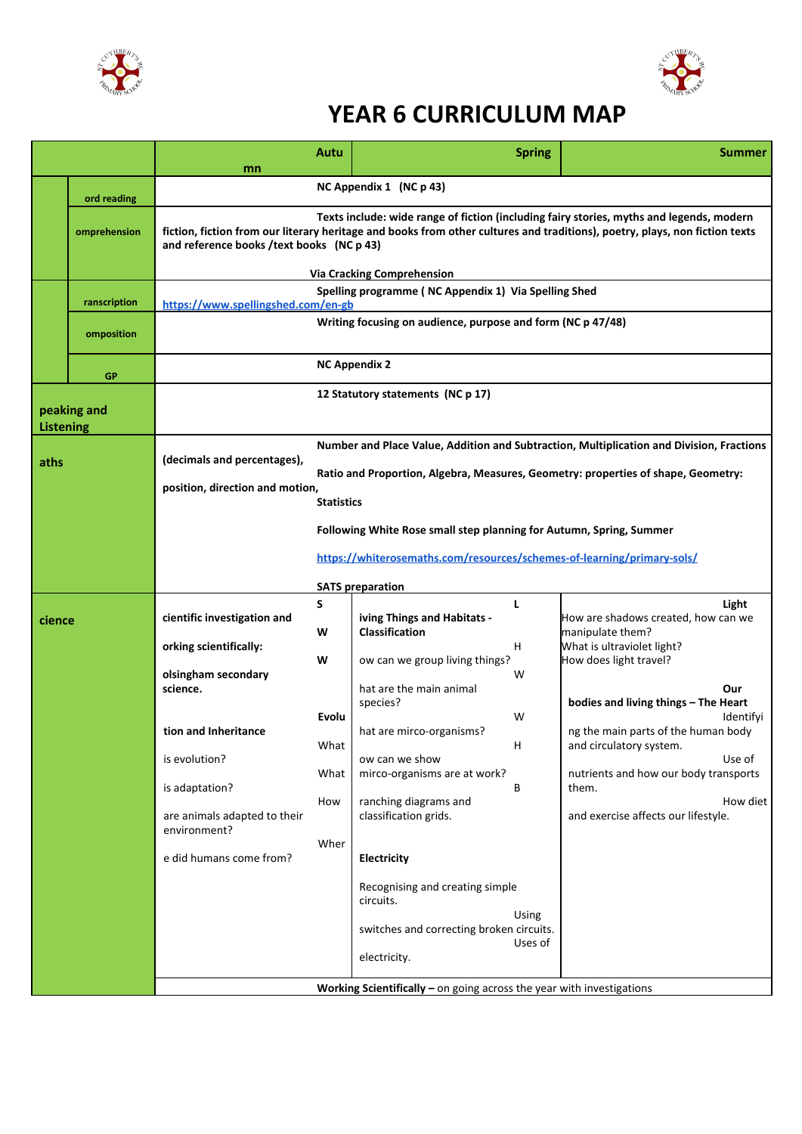



## **YEAR 6 CURRICULUM MAP**

|                          |              | mn                                                                                                                                                                                                                                                                   | Autu                                                                                                                                                                                               |                                                                                                                                                                                     | <b>Spring</b>           | <b>Summer</b>                                                                                                       |  |  |
|--------------------------|--------------|----------------------------------------------------------------------------------------------------------------------------------------------------------------------------------------------------------------------------------------------------------------------|----------------------------------------------------------------------------------------------------------------------------------------------------------------------------------------------------|-------------------------------------------------------------------------------------------------------------------------------------------------------------------------------------|-------------------------|---------------------------------------------------------------------------------------------------------------------|--|--|
|                          | ord reading  | NC Appendix 1 (NC p 43)                                                                                                                                                                                                                                              |                                                                                                                                                                                                    |                                                                                                                                                                                     |                         |                                                                                                                     |  |  |
|                          | omprehension | Texts include: wide range of fiction (including fairy stories, myths and legends, modern<br>fiction, fiction from our literary heritage and books from other cultures and traditions), poetry, plays, non fiction texts<br>and reference books /text books (NC p 43) |                                                                                                                                                                                                    |                                                                                                                                                                                     |                         |                                                                                                                     |  |  |
|                          |              | <b>Via Cracking Comprehension</b>                                                                                                                                                                                                                                    |                                                                                                                                                                                                    |                                                                                                                                                                                     |                         |                                                                                                                     |  |  |
|                          | ranscription | Spelling programme (NC Appendix 1) Via Spelling Shed<br>https://www.spellingshed.com/en-gb                                                                                                                                                                           |                                                                                                                                                                                                    |                                                                                                                                                                                     |                         |                                                                                                                     |  |  |
|                          | omposition   |                                                                                                                                                                                                                                                                      | Writing focusing on audience, purpose and form (NC p 47/48)<br><b>NC Appendix 2</b>                                                                                                                |                                                                                                                                                                                     |                         |                                                                                                                     |  |  |
|                          | GP           |                                                                                                                                                                                                                                                                      |                                                                                                                                                                                                    |                                                                                                                                                                                     |                         |                                                                                                                     |  |  |
| peaking and<br>Listening |              |                                                                                                                                                                                                                                                                      | 12 Statutory statements (NC p 17)                                                                                                                                                                  |                                                                                                                                                                                     |                         |                                                                                                                     |  |  |
| aths                     |              | (decimals and percentages),<br>position, direction and motion,                                                                                                                                                                                                       | Number and Place Value, Addition and Subtraction, Multiplication and Division, Fractions<br>Ratio and Proportion, Algebra, Measures, Geometry: properties of shape, Geometry:<br><b>Statistics</b> |                                                                                                                                                                                     |                         |                                                                                                                     |  |  |
|                          |              |                                                                                                                                                                                                                                                                      | Following White Rose small step planning for Autumn, Spring, Summer<br>https://whiterosemaths.com/resources/schemes-of-learning/primary-sols/<br><b>SATS preparation</b>                           |                                                                                                                                                                                     |                         |                                                                                                                     |  |  |
| cience                   |              | cientific investigation and                                                                                                                                                                                                                                          | S<br>W                                                                                                                                                                                             | iving Things and Habitats -<br><b>Classification</b>                                                                                                                                | L                       | Light<br>How are shadows created, how can we<br>manipulate them?                                                    |  |  |
|                          |              | orking scientifically:<br>olsingham secondary<br>science.                                                                                                                                                                                                            | W                                                                                                                                                                                                  | ow can we group living things?<br>hat are the main animal                                                                                                                           | H.<br>W                 | What is ultraviolet light?<br>How does light travel?<br>Our                                                         |  |  |
|                          |              | tion and Inheritance                                                                                                                                                                                                                                                 | Evolu<br>What                                                                                                                                                                                      | species?<br>hat are mirco-organisms?                                                                                                                                                | W<br>H                  | bodies and living things - The Heart<br>Identifyi<br>ng the main parts of the human body<br>and circulatory system. |  |  |
|                          |              | is evolution?<br>is adaptation?                                                                                                                                                                                                                                      | What<br>How                                                                                                                                                                                        | ow can we show<br>mirco-organisms are at work?<br>ranching diagrams and                                                                                                             | В                       | Use of<br>nutrients and how our body transports<br>them.<br>How diet                                                |  |  |
|                          |              | are animals adapted to their<br>environment?<br>e did humans come from?                                                                                                                                                                                              | Wher                                                                                                                                                                                               | classification grids.<br>Electricity                                                                                                                                                |                         | and exercise affects our lifestyle.                                                                                 |  |  |
|                          |              |                                                                                                                                                                                                                                                                      |                                                                                                                                                                                                    | Recognising and creating simple<br>circuits.<br>switches and correcting broken circuits.<br>electricity.<br>Working Scientifically $-$ on going across the year with investigations | <b>Using</b><br>Uses of |                                                                                                                     |  |  |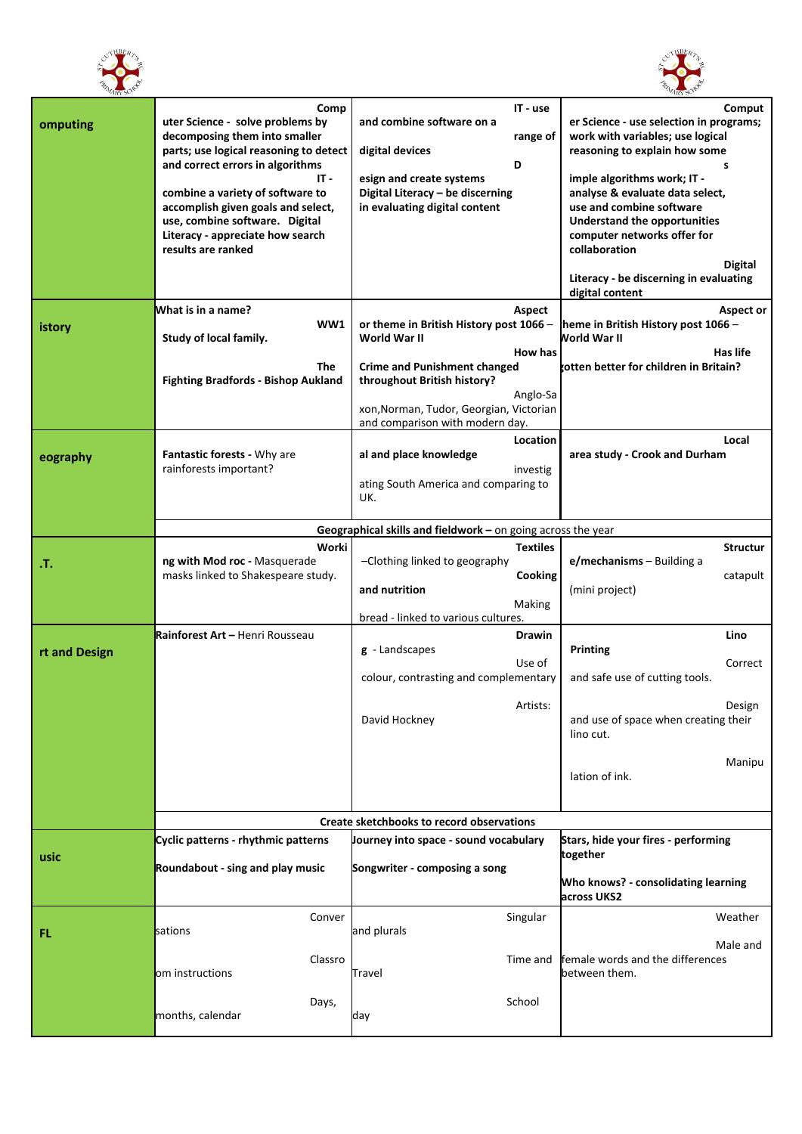



| ARY SO        |                                                                                                                                                                                                                                                                                                                                       |                                                                                                                                                                                                                                              | ARY SO                                                                                                                                                                                                                                                                                                                                                                                   |  |
|---------------|---------------------------------------------------------------------------------------------------------------------------------------------------------------------------------------------------------------------------------------------------------------------------------------------------------------------------------------|----------------------------------------------------------------------------------------------------------------------------------------------------------------------------------------------------------------------------------------------|------------------------------------------------------------------------------------------------------------------------------------------------------------------------------------------------------------------------------------------------------------------------------------------------------------------------------------------------------------------------------------------|--|
| omputing      | Comp<br>uter Science - solve problems by<br>decomposing them into smaller<br>parts; use logical reasoning to detect<br>and correct errors in algorithms<br>IT -<br>combine a variety of software to<br>accomplish given goals and select,<br>use, combine software. Digital<br>Literacy - appreciate how search<br>results are ranked | IT - use<br>and combine software on a<br>range of<br>digital devices<br>D<br>esign and create systems<br>Digital Literacy - be discerning<br>in evaluating digital content                                                                   | Comput<br>er Science - use selection in programs;<br>work with variables; use logical<br>reasoning to explain how some<br>s<br>imple algorithms work; IT -<br>analyse & evaluate data select,<br>use and combine software<br><b>Understand the opportunities</b><br>computer networks offer for<br>collaboration<br>Digital<br>Literacy - be discerning in evaluating<br>digital content |  |
| istory        | What is in a name?<br>WW1<br>Study of local family.<br>The<br><b>Fighting Bradfords - Bishop Aukland</b>                                                                                                                                                                                                                              | Aspect<br>or theme in British History post 1066 -<br>World War II<br>How has<br><b>Crime and Punishment changed</b><br>throughout British history?<br>Anglo-Sa<br>xon, Norman, Tudor, Georgian, Victorian<br>and comparison with modern day. | Aspect or<br>heme in British History post 1066 -<br><b>Norld War II</b><br>Has life<br>totten better for children in Britain?                                                                                                                                                                                                                                                            |  |
| eography      | <b>Fantastic forests - Why are</b><br>rainforests important?                                                                                                                                                                                                                                                                          | Location<br>al and place knowledge<br>investig<br>ating South America and comparing to<br>UK.                                                                                                                                                | Local<br>area study - Crook and Durham                                                                                                                                                                                                                                                                                                                                                   |  |
|               |                                                                                                                                                                                                                                                                                                                                       | Geographical skills and fieldwork $-$ on going across the year                                                                                                                                                                               |                                                                                                                                                                                                                                                                                                                                                                                          |  |
| л.            | Worki<br>ng with Mod roc - Masquerade<br>masks linked to Shakespeare study.                                                                                                                                                                                                                                                           | <b>Textiles</b><br>-Clothing linked to geography<br>Cooking<br>and nutrition<br>Making                                                                                                                                                       | <b>Structur</b><br>$e$ /mechanisms – Building a<br>catapult<br>(mini project)                                                                                                                                                                                                                                                                                                            |  |
|               |                                                                                                                                                                                                                                                                                                                                       | bread - linked to various cultures.                                                                                                                                                                                                          |                                                                                                                                                                                                                                                                                                                                                                                          |  |
| rt and Design | Rainforest Art - Henri Rousseau                                                                                                                                                                                                                                                                                                       | <b>Drawin</b><br>$g$ - Landscapes<br>Use of<br>colour, contrasting and complementary                                                                                                                                                         | Lino<br>Printing<br>Correct<br>and safe use of cutting tools.                                                                                                                                                                                                                                                                                                                            |  |
|               |                                                                                                                                                                                                                                                                                                                                       | Artists:<br>David Hockney                                                                                                                                                                                                                    | Design<br>and use of space when creating their<br>lino cut.                                                                                                                                                                                                                                                                                                                              |  |
|               |                                                                                                                                                                                                                                                                                                                                       |                                                                                                                                                                                                                                              | Manipu<br>lation of ink.                                                                                                                                                                                                                                                                                                                                                                 |  |
|               |                                                                                                                                                                                                                                                                                                                                       | Create sketchbooks to record observations                                                                                                                                                                                                    |                                                                                                                                                                                                                                                                                                                                                                                          |  |
| usic          | Cyclic patterns - rhythmic patterns                                                                                                                                                                                                                                                                                                   | Journey into space - sound vocabulary                                                                                                                                                                                                        | Stars, hide your fires - performing<br>together                                                                                                                                                                                                                                                                                                                                          |  |
|               | Roundabout - sing and play music                                                                                                                                                                                                                                                                                                      | Songwriter - composing a song                                                                                                                                                                                                                | Who knows? - consolidating learning<br>across UKS2                                                                                                                                                                                                                                                                                                                                       |  |
| FL.           | Conver<br>sations                                                                                                                                                                                                                                                                                                                     | Singular<br>and plurals                                                                                                                                                                                                                      | Weather<br>Male and                                                                                                                                                                                                                                                                                                                                                                      |  |
|               | Classro<br>om instructions                                                                                                                                                                                                                                                                                                            | Time and<br>Travel                                                                                                                                                                                                                           | female words and the differences<br>between them.                                                                                                                                                                                                                                                                                                                                        |  |
|               | Days,<br>months, calendar                                                                                                                                                                                                                                                                                                             | School<br>day                                                                                                                                                                                                                                |                                                                                                                                                                                                                                                                                                                                                                                          |  |
|               |                                                                                                                                                                                                                                                                                                                                       |                                                                                                                                                                                                                                              |                                                                                                                                                                                                                                                                                                                                                                                          |  |